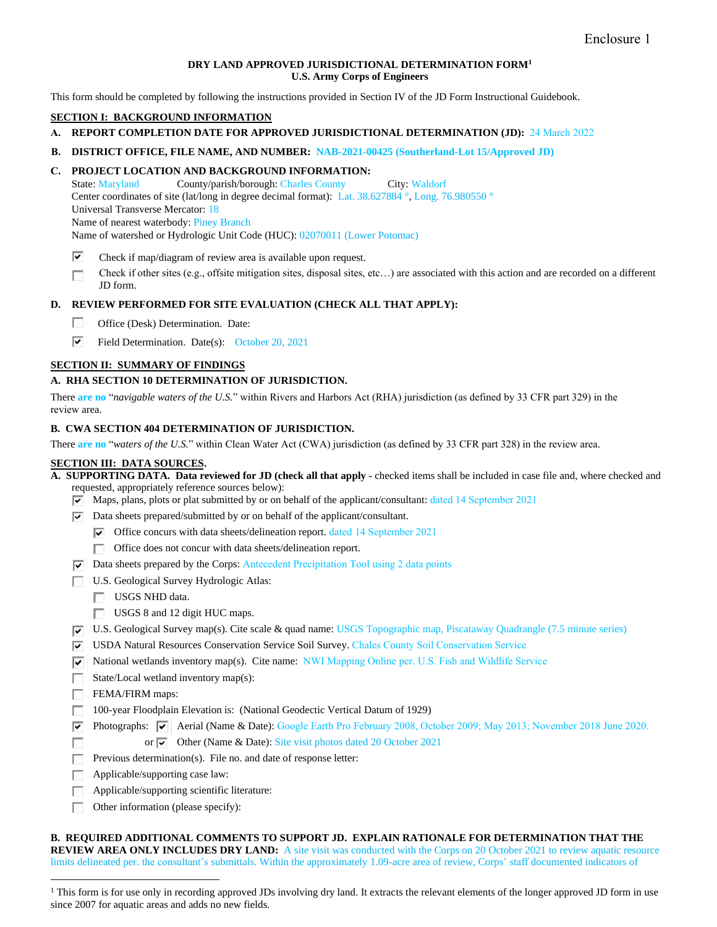### **DRY LAND APPROVED JURISDICTIONAL DETERMINATION FORM<sup>1</sup> U.S. Army Corps of Engineers**

This form should be completed by following the instructions provided in Section IV of the JD Form Instructional Guidebook.

## **SECTION I: BACKGROUND INFORMATION**

- **A. REPORT COMPLETION DATE FOR APPROVED JURISDICTIONAL DETERMINATION (JD):** 24 March 2022
- **B. DISTRICT OFFICE, FILE NAME, AND NUMBER: NAB-2021-00425 (Southerland-Lot 15/Approved JD)**

# **C. PROJECT LOCATION AND BACKGROUND INFORMATION:**

State: Maryland County/parish/borough: Charles County City: Waldorf Center coordinates of site (lat/long in degree decimal format): Lat. 38.627884 °, Long. 76.980550 ° Universal Transverse Mercator: 18 Name of nearest waterbody: Piney Branch Name of watershed or Hydrologic Unit Code (HUC): 02070011 (Lower Potomac)

- ⊽ Check if map/diagram of review area is available upon request.
- Check if other sites (e.g., offsite mitigation sites, disposal sites, etc…) are associated with this action and are recorded on a different П JD form.

## **D. REVIEW PERFORMED FOR SITE EVALUATION (CHECK ALL THAT APPLY):**

- П. Office (Desk) Determination. Date:
- ⊽ Field Determination. Date(s): October 20, 2021

## **SECTION II: SUMMARY OF FINDINGS**

### **A. RHA SECTION 10 DETERMINATION OF JURISDICTION.**

There **are no** "*navigable waters of the U.S.*" within Rivers and Harbors Act (RHA) jurisdiction (as defined by 33 CFR part 329) in the review area.

### **B. CWA SECTION 404 DETERMINATION OF JURISDICTION.**

There **are no** "*waters of the U.S.*" within Clean Water Act (CWA) jurisdiction (as defined by 33 CFR part 328) in the review area.

# **SECTION III: DATA SOURCES.**

**A. SUPPORTING DATA. Data reviewed for JD (check all that apply -** checked items shall be included in case file and, where checked and requested, appropriately reference sources below):

 $\overline{v}$  Maps, plans, plots or plat submitted by or on behalf of the applicant/consultant: dated 14 September 2021

- $\overline{\triangledown}$  Data sheets prepared/submitted by or on behalf of the applicant/consultant.
	- $\triangledown$  Office concurs with data sheets/delineation report. dated 14 September 2021
	- Office does not concur with data sheets/delineation report. п.
- $\triangledown$  Data sheets prepared by the Corps: Antecedent Precipitation Tool using 2 data points
- U.S. Geological Survey Hydrologic Atlas:
	- USGS NHD data.
	- USGS 8 and 12 digit HUC maps.
- U.S. Geological Survey map(s). Cite scale & quad name: USGS Topographic map, Piscataway Quadrangle (7.5 minute series)
- USDA Natural Resources Conservation Service Soil Survey. Chales County Soil Conservation Service
- National wetlands inventory map(s). Cite name: NWI Mapping Online per. U.S. Fish and Wildlife Service
- State/Local wetland inventory map(s):
- FEMA/FIRM maps: П.
- П. 100-year Floodplain Elevation is: (National Geodectic Vertical Datum of 1929)
- ⊽⊟ Photographs:  $\overline{v}$  Aerial (Name & Date): Google Earth Pro February 2008, October 2009; May 2013; November 2018 June 2020. or  $\overline{\triangledown}$  Other (Name & Date): Site visit photos dated 20 October 2021 г
- П. Previous determination(s). File no. and date of response letter:
- Applicable/supporting case law: п
- Applicable/supporting scientific literature: Г
- $\Box$  Other information (please specify):

**B. REQUIRED ADDITIONAL COMMENTS TO SUPPORT JD. EXPLAIN RATIONALE FOR DETERMINATION THAT THE REVIEW AREA ONLY INCLUDES DRY LAND:** A site visit was conducted with the Corps on 20 October 2021 to review aquatic resource limits delineated per. the consultant's submittals. Within the approximately 1.09-acre area of review, Corps' staff documented indicators of

<sup>&</sup>lt;sup>1</sup> This form is for use only in recording approved JDs involving dry land. It extracts the relevant elements of the longer approved JD form in use since 2007 for aquatic areas and adds no new fields.